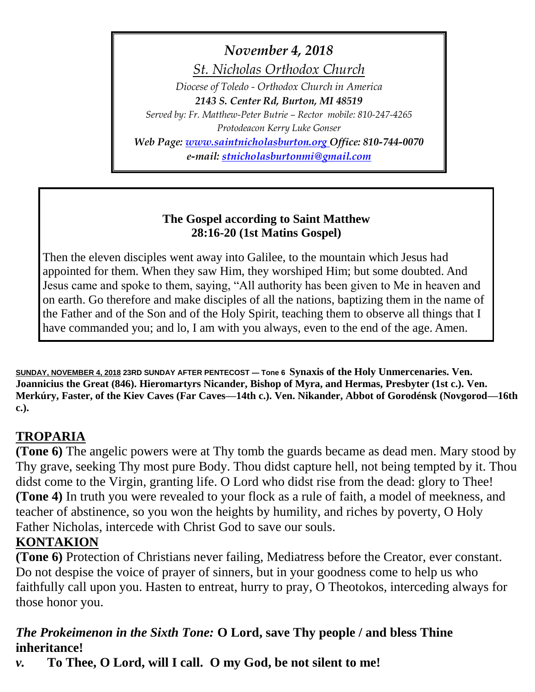*November 4, 2018*

*St. Nicholas Orthodox Church*

*Diocese of Toledo - Orthodox Church in America 2143 S. Center Rd, Burton, MI 48519 Served by: Fr. Matthew-Peter Butrie – Rector mobile: 810-247-4265 Protodeacon Kerry Luke Gonser Web Page: [www.saintnicholasburton.org](http://www.saintnicholasburton.org/) Office: 810-744-0070 e-mail: [stnicholasburtonmi@gmail.com](mailto:stnicholasburtonmi@gmail.com)*

## **The Gospel according to Saint Matthew 28:16-20 (1st Matins Gospel)**

Then the eleven disciples went away into Galilee, to the mountain which Jesus had appointed for them. When they saw Him, they worshiped Him; but some doubted. And Jesus came and spoke to them, saying, "All authority has been given to Me in heaven and on earth. Go therefore and make disciples of all the nations, baptizing them in the name of the Father and of the Son and of the Holy Spirit, teaching them to observe all things that I have commanded you; and lo, I am with you always, even to the end of the age. Amen.

**SUNDAY, NOVEMBER 4, 2018 23RD SUNDAY AFTER PENTECOST — Tone 6 Synaxis of the Holy Unmercenaries. Ven. Joannicius the Great (846). Hieromartyrs Nicander, Bishop of Myra, and Hermas, Presbyter (1st c.). Ven. Merkúry, Faster, of the Kiev Caves (Far Caves—14th c.). Ven. Nikander, Abbot of Gorodénsk (Novgorod—16th c.).**

# **TROPARIA**

**(Tone 6)** The angelic powers were at Thy tomb the guards became as dead men. Mary stood by Thy grave, seeking Thy most pure Body. Thou didst capture hell, not being tempted by it. Thou didst come to the Virgin, granting life. O Lord who didst rise from the dead: glory to Thee! **(Tone 4)** In truth you were revealed to your flock as a rule of faith, a model of meekness, and teacher of abstinence, so you won the heights by humility, and riches by poverty, O Holy Father Nicholas, intercede with Christ God to save our souls.

## **KONTAKION**

**(Tone 6)** Protection of Christians never failing, Mediatress before the Creator, ever constant. Do not despise the voice of prayer of sinners, but in your goodness come to help us who faithfully call upon you. Hasten to entreat, hurry to pray, O Theotokos, interceding always for those honor you.

## *The Prokeimenon in the Sixth Tone:* **O Lord, save Thy people / and bless Thine inheritance!**

*v.* **To Thee, O Lord, will I call. O my God, be not silent to me!**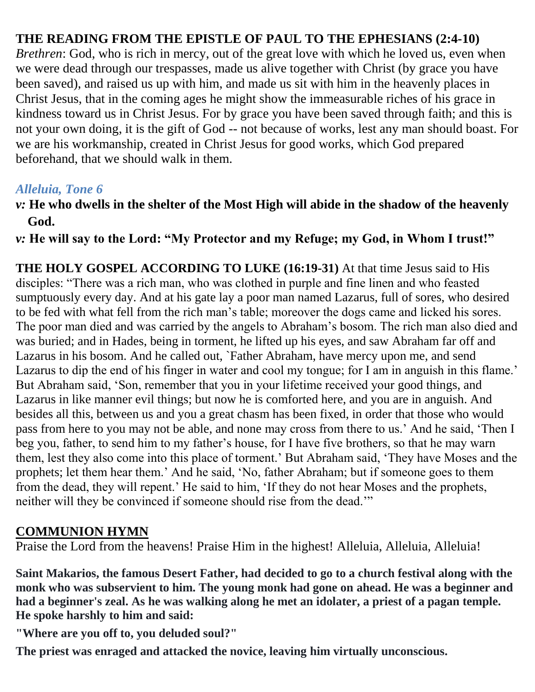## **THE READING FROM THE EPISTLE OF PAUL TO THE EPHESIANS (2:4-10)**

*Brethren*: God, who is rich in mercy, out of the great love with which he loved us, even when we were dead through our trespasses, made us alive together with Christ (by grace you have been saved), and raised us up with him, and made us sit with him in the heavenly places in Christ Jesus, that in the coming ages he might show the immeasurable riches of his grace in kindness toward us in Christ Jesus. For by grace you have been saved through faith; and this is not your own doing, it is the gift of God -- not because of works, lest any man should boast. For we are his workmanship, created in Christ Jesus for good works, which God prepared beforehand, that we should walk in them.

## *Alleluia, Tone 6*

## *v:* **He who dwells in the shelter of the Most High will abide in the shadow of the heavenly God.**

*v:* **He will say to the Lord: "My Protector and my Refuge; my God, in Whom I trust!"**

**THE HOLY GOSPEL ACCORDING TO LUKE (16:19-31)** At that time Jesus said to His disciples: "There was a rich man, who was clothed in purple and fine linen and who feasted sumptuously every day. And at his gate lay a poor man named Lazarus, full of sores, who desired to be fed with what fell from the rich man's table; moreover the dogs came and licked his sores. The poor man died and was carried by the angels to Abraham's bosom. The rich man also died and was buried; and in Hades, being in torment, he lifted up his eyes, and saw Abraham far off and Lazarus in his bosom. And he called out, `Father Abraham, have mercy upon me, and send Lazarus to dip the end of his finger in water and cool my tongue; for I am in anguish in this flame.' But Abraham said, 'Son, remember that you in your lifetime received your good things, and Lazarus in like manner evil things; but now he is comforted here, and you are in anguish. And besides all this, between us and you a great chasm has been fixed, in order that those who would pass from here to you may not be able, and none may cross from there to us.' And he said, 'Then I beg you, father, to send him to my father's house, for I have five brothers, so that he may warn them, lest they also come into this place of torment.' But Abraham said, 'They have Moses and the prophets; let them hear them.' And he said, 'No, father Abraham; but if someone goes to them from the dead, they will repent.' He said to him, 'If they do not hear Moses and the prophets, neither will they be convinced if someone should rise from the dead.'"

## **COMMUNION HYMN**

Praise the Lord from the heavens! Praise Him in the highest! Alleluia, Alleluia, Alleluia!

**Saint Makarios, the famous Desert Father, had decided to go to a church festival along with the monk who was subservient to him. The young monk had gone on ahead. He was a beginner and had a beginner's zeal. As he was walking along he met an idolater, a priest of a pagan temple. He spoke harshly to him and said:**

**"Where are you off to, you deluded soul?"**

**The priest was enraged and attacked the novice, leaving him virtually unconscious.**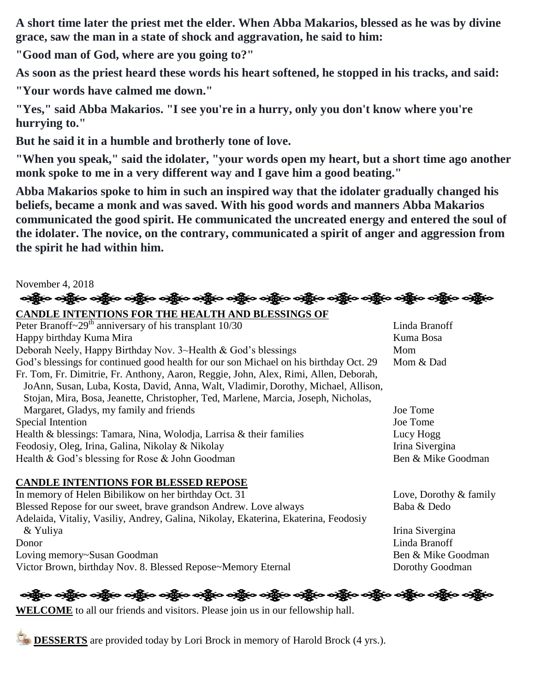**A short time later the priest met the elder. When Abba Makarios, blessed as he was by divine grace, saw the man in a state of shock and aggravation, he said to him:**

**"Good man of God, where are you going to?"**

**As soon as the priest heard these words his heart softened, he stopped in his tracks, and said:**

**"Your words have calmed me down."**

**"Yes," said Abba Makarios. "I see you're in a hurry, only you don't know where you're hurrying to."**

**But he said it in a humble and brotherly tone of love.**

**"When you speak," said the idolater, "your words open my heart, but a short time ago another monk spoke to me in a very different way and I gave him a good beating."**

**Abba Makarios spoke to him in such an inspired way that the idolater gradually changed his beliefs, became a monk and was saved. With his good words and manners Abba Makarios communicated the good spirit. He communicated the uncreated energy and entered the soul of the idolater. The novice, on the contrary, communicated a spirit of anger and aggression from the spirit he had within him.**

# November 4, 2018 ઓફ્રેન ઓફ્રેન ઓફ્રેન એફ્રેન ઓફ્રેન ઓફ્રેન ઓફ્રેન ઓફ્રેન એફ્રેન એફ્રેન એફ્રેન એફ્રેન એફ્રેન એફ્રેન

**CANDLE INTENTIONS FOR THE HEALTH AND BLESSINGS OF**  Peter Branoff~29<sup>th</sup> anniversary of his transplant 10/30 Linda Branoff Happy birthday Kuma Mira **Kuma Bosa** Deborah Neely, Happy Birthday Nov. 3~Health & God's blessings Mom God's blessings for continued good health for our son Michael on his birthday Oct. 29 Mom & Dad Fr. Tom, Fr. Dimitrie, Fr. Anthony, Aaron, Reggie, John, Alex, Rimi, Allen, Deborah, JoAnn, Susan, Luba, Kosta, David, Anna, Walt, Vladimir, Dorothy, Michael, Allison, Stojan, Mira, Bosa, Jeanette, Christopher, Ted, Marlene, Marcia, Joseph, Nicholas, Margaret, Gladys, my family and friends Joe Tome Special Intention Joe Tome Health & blessings: Tamara, Nina, Wolodja, Larrisa & their families Lucy Hogg Feodosiy, Oleg, Irina, Galina, Nikolay & Nikolay Irina Sivergina Health & God's blessing for Rose & John Goodman Ben & Mike Goodman Ben & Mike Goodman

#### **CANDLE INTENTIONS FOR BLESSED REPOSE**

In memory of Helen Bibilikow on her birthday Oct. 31 Love, Dorothy & family Blessed Repose for our sweet, brave grandson Andrew. Love always Baba & Dedo Adelaida, Vitaliy, Vasiliy, Andrey, Galina, Nikolay, Ekaterina, Ekaterina, Feodosiy & Yuliya Irina Sivergina Donor Linda Branoff Loving memory~Susan Goodman Ben & Mike Goodman Victor Brown, birthday Nov. 8. Blessed Repose~Memory Eternal Dorothy Goodman

# န္းမွို့ေခါင္ဆိုေခါင္ဆိုေခါင္း ျပည္ေနျပင္း ခင္ဆိုေခါင္း အိုင္းေရးမွာေခါင္း ေဆြးေခါင္း ေခါင္း

**WELCOME** to all our friends and visitors. Please join us in our fellowship hall.

**DESSERTS** are provided today by Lori Brock in memory of Harold Brock (4 yrs.).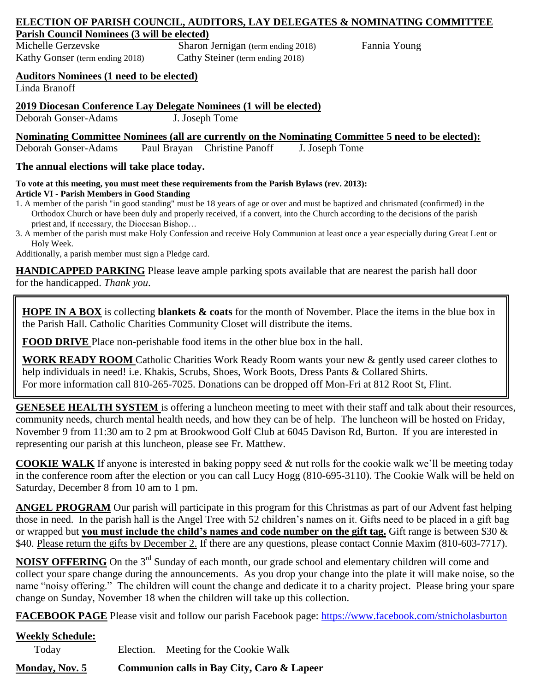#### **ELECTION OF PARISH COUNCIL, AUDITORS, LAY DELEGATES & NOMINATING COMMITTEE Parish Council Nominees (3 will be elected)**

Michelle Gerzevske Sharon Jernigan (term ending 2018) Fannia Young Kathy Gonser (term ending 2018) Cathy Steiner (term ending 2018)

#### **Auditors Nominees (1 need to be elected)**

Linda Branoff

#### **2019 Diocesan Conference Lay Delegate Nominees (1 will be elected)**

Deborah Gonser-Adams J. Joseph Tome

#### **Nominating Committee Nominees (all are currently on the Nominating Committee 5 need to be elected):**

Deborah Gonser-Adams Paul Brayan Christine Panoff J. Joseph Tome

#### **The annual elections will take place today.**

**To vote at this meeting, you must meet these requirements from the Parish Bylaws (rev. 2013): Article VI - Parish Members in Good Standing** 

1. A member of the parish "in good standing" must be 18 years of age or over and must be baptized and chrismated (confirmed) in the Orthodox Church or have been duly and properly received, if a convert, into the Church according to the decisions of the parish priest and, if necessary, the Diocesan Bishop…

3. A member of the parish must make Holy Confession and receive Holy Communion at least once a year especially during Great Lent or Holy Week.

Additionally, a parish member must sign a Pledge card.

**HANDICAPPED PARKING** Please leave ample parking spots available that are nearest the parish hall door for the handicapped. *Thank you*.

**HOPE IN A BOX** is collecting **blankets & coats** for the month of November. Place the items in the blue box in the Parish Hall. Catholic Charities Community Closet will distribute the items.

**FOOD DRIVE** Place non-perishable food items in the other blue box in the hall.

**WORK READY ROOM** Catholic Charities Work Ready Room wants your new & gently used career clothes to help individuals in need! i.e. Khakis, Scrubs, Shoes, Work Boots, Dress Pants & Collared Shirts. For more information call 810-265-7025. Donations can be dropped off Mon-Fri at 812 Root St, Flint.

**GENESEE HEALTH SYSTEM** is offering a luncheon meeting to meet with their staff and talk about their resources, community needs, church mental health needs, and how they can be of help. The luncheon will be hosted on Friday, November 9 from 11:30 am to 2 pm at Brookwood Golf Club at 6045 Davison Rd, Burton. If you are interested in representing our parish at this luncheon, please see Fr. Matthew.

**COOKIE WALK** If anyone is interested in baking poppy seed & nut rolls for the cookie walk we'll be meeting today in the conference room after the election or you can call Lucy Hogg (810-695-3110). The Cookie Walk will be held on Saturday, December 8 from 10 am to 1 pm.

**ANGEL PROGRAM** Our parish will participate in this program for this Christmas as part of our Advent fast helping those in need. In the parish hall is the Angel Tree with 52 children's names on it. Gifts need to be placed in a gift bag or wrapped but **you must include the child's names and code number on the gift tag.** Gift range is between \$30 & \$40. Please return the gifts by December 2. If there are any questions, please contact Connie Maxim (810-603-7717).

**NOISY OFFERING** On the 3<sup>rd</sup> Sunday of each month, our grade school and elementary children will come and collect your spare change during the announcements. As you drop your change into the plate it will make noise, so the name "noisy offering." The children will count the change and dedicate it to a charity project. Please bring your spare change on Sunday, November 18 when the children will take up this collection.

**FACEBOOK PAGE** Please visit and follow our parish Facebook page:<https://www.facebook.com/stnicholasburton>

# **Weekly Schedule:**

Today Election. Meeting for the Cookie Walk

**Monday, Nov. 5 Communion calls in Bay City, Caro & Lapeer**